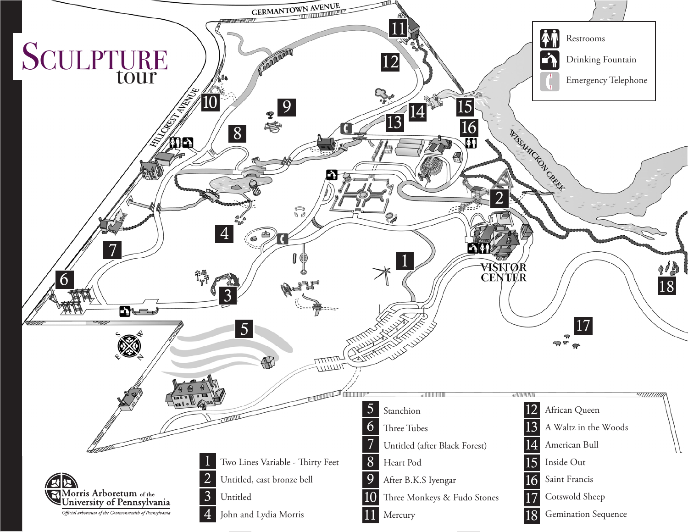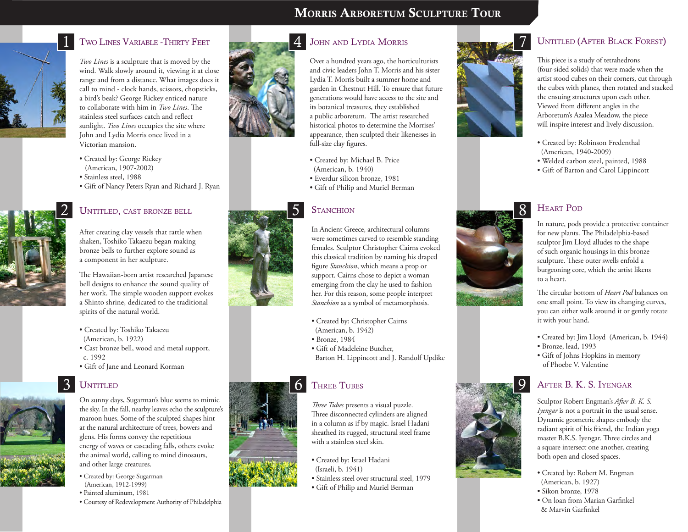# Morris Arboretum Sculpture Tour



# 1 TWO LINES VARIABLE -THIRTY FEET

*Two Lines* is a sculpture that is moved by the wind. Walk slowly around it, viewing it at close range and from a distance. What images does it call to mind - clock hands, scissors, chopsticks, a bird's beak? George Rickey enticed nature to collaborate with him in *Two Lines*. The stainless steel surfaces catch and reflect sunlight. *Two Lines* occupies the site where John and Lydia Morris once lived in a Victorian mansion.

- Created by: George Rickey (American, 1907-2002)
- Stainless steel, 1988
- Gift of Nancy Peters Ryan and Richard J. Ryan



#### Untitled, cast bronze bell

After creating clay vessels that rattle when shaken, Toshiko Takaezu began making bronze bells to further explore sound as a component in her sculpture.

The Hawaiian-born artist researched Japanese bell designs to enhance the sound quality of her work. The simple wooden support evokes a Shinto shrine, dedicated to the traditional spirits of the natural world.

- Created by: Toshiko Takaezu (American, b. 1922)
- Cast bronze bell, wood and metal support, c. 1992

On sunny days, Sugarman's blue seems to mimic the sky. In the fall, nearby leaves echo the sculpture's maroon hues. Some of the sculpted shapes hint at the natural architecture of trees, bowers and glens. His forms convey the repetitious energy of waves or cascading falls, others evoke the animal world, calling to mind dinosaurs,

• Gift of Jane and Leonard Korman

## **UNTITLED**

3



- and other large creatures. • Created by: George Sugarman
- (American, 1912-1999)
- Painted aluminum, 1981
- Courtesy of Redevelopment Authority of Philadelphia



### JOHN AND LYDIA MORRIS

Over a hundred years ago, the horticulturists and civic leaders John T. Morris and his sister Lydia T. Morris built a summer home and garden in Chestnut Hill. To ensure that future generations would have access to the site and its botanical treasures, they established a public arboretum. The artist researched historical photos to determine the Morrises' appearance, then sculpted their likenesses in full-size clay figures.

- Created by: Michael B. Price
- (American, b. 1940) • Everdur silicon bronze, 1981
- 
- Gift of Philip and Muriel Berman

#### **STANCHION**



In Ancient Greece, architectural columns were sometimes carved to resemble standing females. Sculptor Christopher Cairns evoked this classical tradition by naming his draped figure *Stanchion*, which means a prop or support. Cairns chose to depict a woman emerging from the clay he used to fashion her. For this reason, some people interpret *Stanchion* as a symbol of metamorphosis.

- Created by: Christopher Cairns
- (American, b. 1942)
- Bronze, 1984
- Gift of Madeleine Butcher, Barton H. Lippincott and J. Randolf Updike

#### Three Tubes

*Three Tubes* presents a visual puzzle. Three disconnected cylinders are aligned in a column as if by magic. Israel Hadani sheathed its rugged, structural steel frame with a stainless steel skin.

- Created by: Israel Hadani (Israeli, b. 1941)
- Stainless steel over structural steel, 1979
- Gift of Philip and Muriel Berman



#### UNTITLED (AFTER BLACK FOREST)

This piece is a study of tetrahedrons (four-sided solids) that were made when the artist stood cubes on their corners, cut through the cubes with planes, then rotated and stacked the ensuing structures upon each other. Viewed from different angles in the Arboretum's Azalea Meadow, the piece will inspire interest and lively discussion.

- Created by: Robinson Fredenthal (American, 1940-2009)
- Welded carbon steel, painted, 1988
- Gift of Barton and Carol Lippincott

**HEART POD** 



In nature, pods provide a protective container for new plants. The Philadelphia-based sculptor Jim Lloyd alludes to the shape of such organic housings in this bronze sculpture. These outer swells enfold a burgeoning core, which the artist likens to a heart.

The circular bottom of *Heart Pod* balances on one small point. To view its changing curves, you can either walk around it or gently rotate it with your hand.

- Created by: Jim Lloyd (American, b. 1944)
- Bronze, lead, 1993

9

• Gift of Johns Hopkins in memory of Phoebe V. Valentine

## After B. K. S. Iyengar

Sculptor Robert Engman's *After B. K. S. Iyengar* is not a portrait in the usual sense. Dynamic geometric shapes embody the radiant spirit of his friend, the Indian yoga master B.K.S. Iyengar. Three circles and a square intersect one another, creating both open and closed spaces.

- Created by: Robert M. Engman (American, b. 1927)
- Sikon bronze, 1978
- On loan from Marian Garfinkel & Marvin Garfinkel